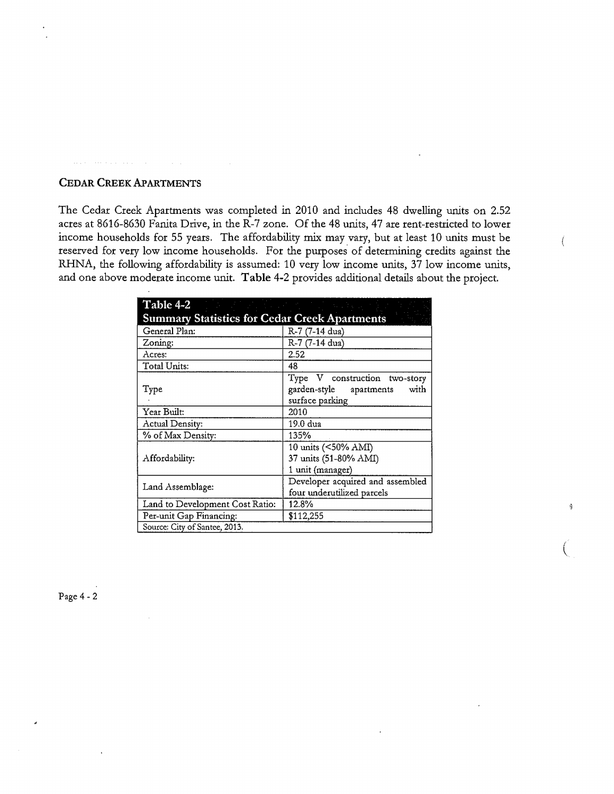# **CEDAR CREEK APARTMENTS**

The Cedar Creek Apartments was completed in 2010 and includes 48 dwelling units on 2.52 acres at 8616-8630 Fanita Drive, in the R-7 zone. Of the 48 units, 47 are rent-restricted to lower income households for 55 years. The affordability mix may vary, but at least 10 units must be reserved for very low income households. For the purposes of determining credits against the RHNA, the following affordability is assumed: 10 very low income units, 37 low income units, and one above moderate income unit. **Table** 4-2 provides additional details about the project.

| <b>Table 4-2</b>                                     |                                                                                     |
|------------------------------------------------------|-------------------------------------------------------------------------------------|
| <b>Summary Statistics for Cedar Creek Apartments</b> |                                                                                     |
| General Plan:                                        | R-7 (7-14 dua)                                                                      |
| Zoning:                                              | R-7 (7-14 dua)                                                                      |
| Acres:                                               | 2.52                                                                                |
| Total Units:                                         | 48                                                                                  |
| Type                                                 | Type V construction two-story<br>garden-style apartments<br>with<br>surface parking |
| Year Built:                                          | 2010                                                                                |
| Actual Density:                                      | 19.0 dua                                                                            |
| % of Max Density:                                    | 135%                                                                                |
| Affordability:                                       | 10 units (<50% AMI)<br>37 units (51-80% AMI)<br>1 unit (manager)                    |
| Land Assemblage:                                     | Developer acquired and assembled<br>four underutilized parcels                      |
| Land to Development Cost Ratio:                      | 12.8%                                                                               |
| Per-unit Gap Financing:                              | \$112,255                                                                           |
| Source: City of Santee, 2013.                        |                                                                                     |

 $\overline{C}$ 

 $\frac{1}{2}$ 

 $\{$ 

Page 4-2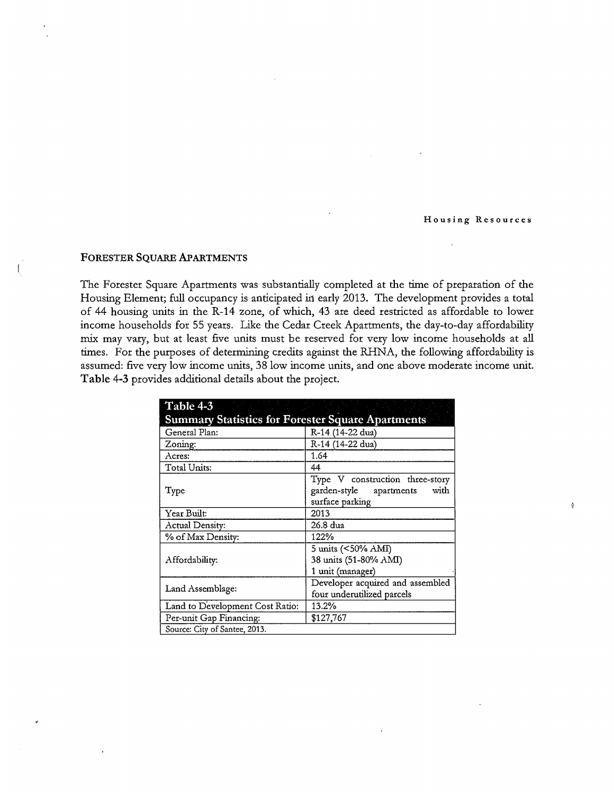## **Housing Resources**

 $\frac{1}{2}$ 

#### **FORESTER SQUARE APARTMENTS**

The Forester Square Apartments was substantially completed at the time of preparation of the Housing Element; full occupancy is anticipated in early 2013. The development provides a total of 44 housing units in the R-14 zone, of which, 43 are deed restricted as affordable to lower income households for 55 years. Like the Cedar Creek Apartments, the day-to-day affordability mix may vary, but at least five units must be reserved for very low income households at all times. For the purposes of determining credits against the RHNA, the following affordability is assumed: five very low income units, 38 low income units, and one above moderate income unit. **Table** 4-3 provides additional details about the project.

| <b>Summary Statistics for Forester Square Apartments</b> |                                                                                          |
|----------------------------------------------------------|------------------------------------------------------------------------------------------|
| General Plan:                                            | R-14 (14-22 dua)                                                                         |
| Zoning:                                                  | R-14 (14-22 dua)                                                                         |
| Acres:                                                   | 1.64                                                                                     |
| Total Units:                                             | 44                                                                                       |
| Type                                                     | Type V construction three-story<br>garden-style<br>with<br>apartments<br>surface parking |
| Year Built:                                              | 2013                                                                                     |
| Actual Density:                                          | 26.8 dua                                                                                 |
| % of Max Density:                                        | 122%                                                                                     |
| Affordability:                                           | 5 units (<50% AMI)<br>38 units (51-80% AMI)<br>1 unit (manager)                          |
| Land Assemblage:                                         | Developer acquired and assembled<br>four underutilized parcels                           |
| Land to Development Cost Ratio:                          | 13.2%                                                                                    |
| Per-unit Gap Financing:                                  | \$127,767                                                                                |
| Source: City of Santee, 2013.                            |                                                                                          |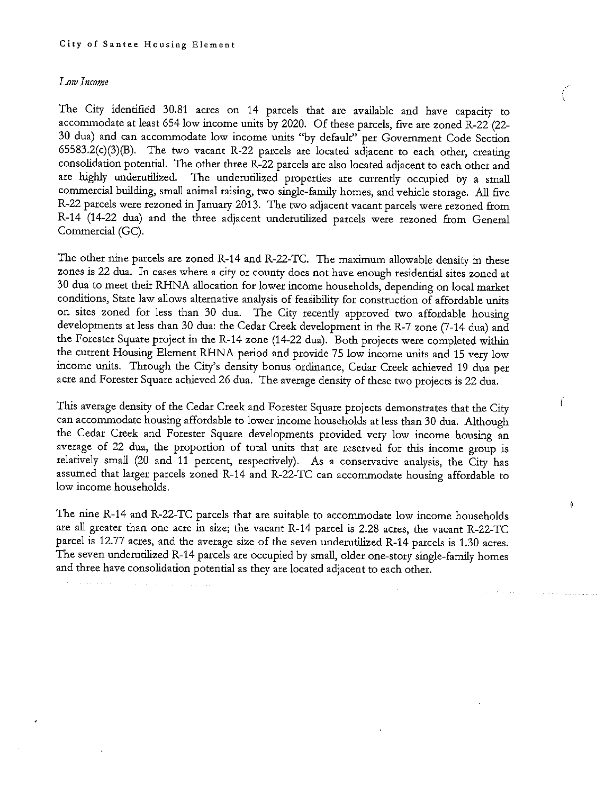## *Low Income*

The City identified 30.81 acres on 14 parcels that are available and have capacity to accommodate at least 654 low income units by 2020. Of these parcels, five are zoned R-22 (22- 30 dua) and can accommodate low income units "by default'' per Government Code Section 65583.2(c)(3)(B). The two vacant R-22 parcels are located adjacent to each other, creating consolidation potential. The other three R-22 parcels are also located adjacent to each other and are highly underutilized. The underutilized properties are currently occupied by a small commercial building, small animal raising, two single-family homes, and vehicle storage. All five R-22 parcels were rezoned in January 2013. The two adjacent vacant parcels were rezoned from R-14 (14-22 dua) and the three adjacent underutilized parcels were rezoned from General Commercial (GC).

*<u>Products</u>* 

 $\int$ 

à

The other nine parcels are zoned R-14 and R-22-TC. The maximum allowable density in these zones is 22 dua. In cases where a city or county does not have enough residential sites zoned at 30 dua to meet their RHNA allocation for lower income households, depending on local market conditions, State law allows alternative analysis of feasibility for construction of affordable units on sites zoned for less than 30 dua. The City recently approved two affordable housing developments at less than 30 dua: the Cedar Creek development in the R-7 zone (7-14 dua) and the Forester Square project in the R-14 zone (14-22 dua). Both projects were completed within the current Housing Element RHNA period and provide 75 low income units and 15 very low income units. Through the City's density bonus ordinance, Cedar Creek achieved 19 dua per acre and Forester Square achieved 26 dua. The average density of these two projects is 22 dua.

This average density of the Cedar Creek and Forester Square projects demonstrates that the City can accommodate housing affordable to lower income households at less than 30 dua. Although the Cedar Creek and Forester Square developments provided very low income housing an average of 22 dua, the proportion of total units that are reserved for this income group is relatively small (20 and 11 percent, respectively). As a conservative analysis, the City has assumed that larger parcels zoned R-14 and R-22-TC can accommodate housing affordable to low income households.

The nine R-14 and R-22-TC parcels that are suitable to accommodate low income households are all greater than one acre in size; the vacant R-14 parcel is 2.28 acres, the vacant R-22-TC parcel is 12.77 acres, and the average size of the seven underutilized R-14 parcels is 1.30 acres. The seven underutilized R-14 parcels are occupied by small, older one-story single-family homes and three have consolidation potential as they are located adjacent to each other.